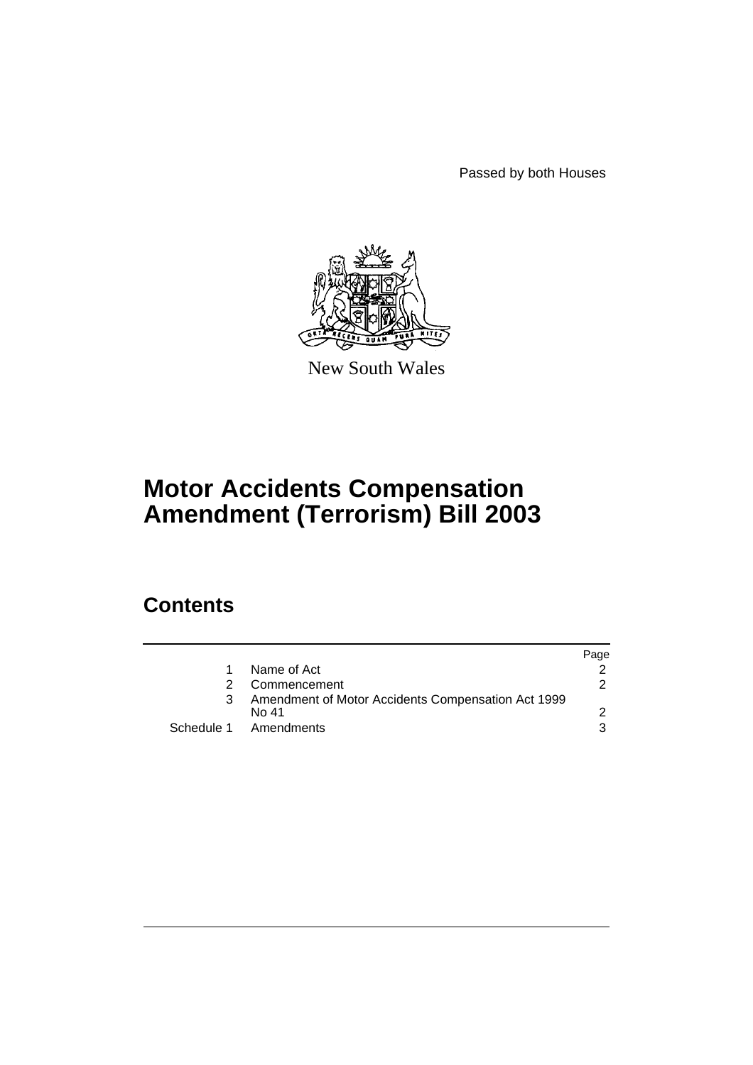Passed by both Houses



New South Wales

# **Motor Accidents Compensation Amendment (Terrorism) Bill 2003**

# **Contents**

|    |                                                    | Page |
|----|----------------------------------------------------|------|
| 1. | Name of Act                                        |      |
| 2  | Commencement                                       | 2    |
| 3  | Amendment of Motor Accidents Compensation Act 1999 |      |
|    | No 41                                              |      |
|    | Schedule 1 Amendments                              | 3    |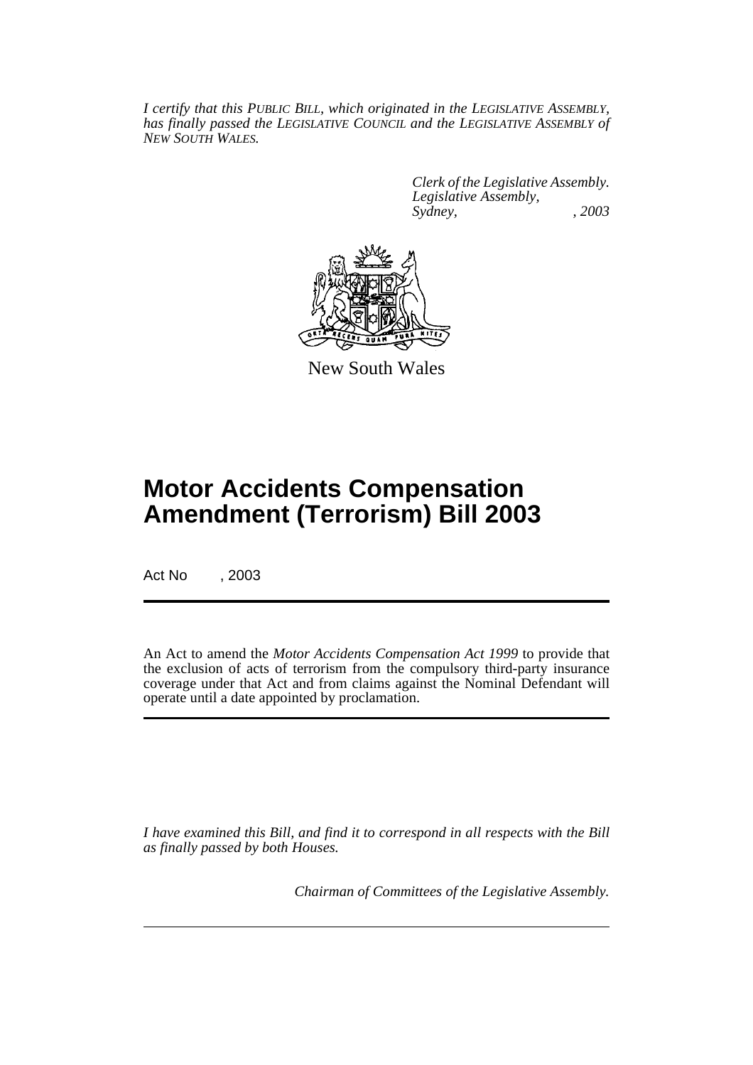*I certify that this PUBLIC BILL, which originated in the LEGISLATIVE ASSEMBLY, has finally passed the LEGISLATIVE COUNCIL and the LEGISLATIVE ASSEMBLY of NEW SOUTH WALES.*

> *Clerk of the Legislative Assembly. Legislative Assembly, Sydney, , 2003*



New South Wales

# **Motor Accidents Compensation Amendment (Terrorism) Bill 2003**

Act No , 2003

An Act to amend the *Motor Accidents Compensation Act 1999* to provide that the exclusion of acts of terrorism from the compulsory third-party insurance coverage under that Act and from claims against the Nominal Defendant will operate until a date appointed by proclamation.

*I have examined this Bill, and find it to correspond in all respects with the Bill as finally passed by both Houses.*

*Chairman of Committees of the Legislative Assembly.*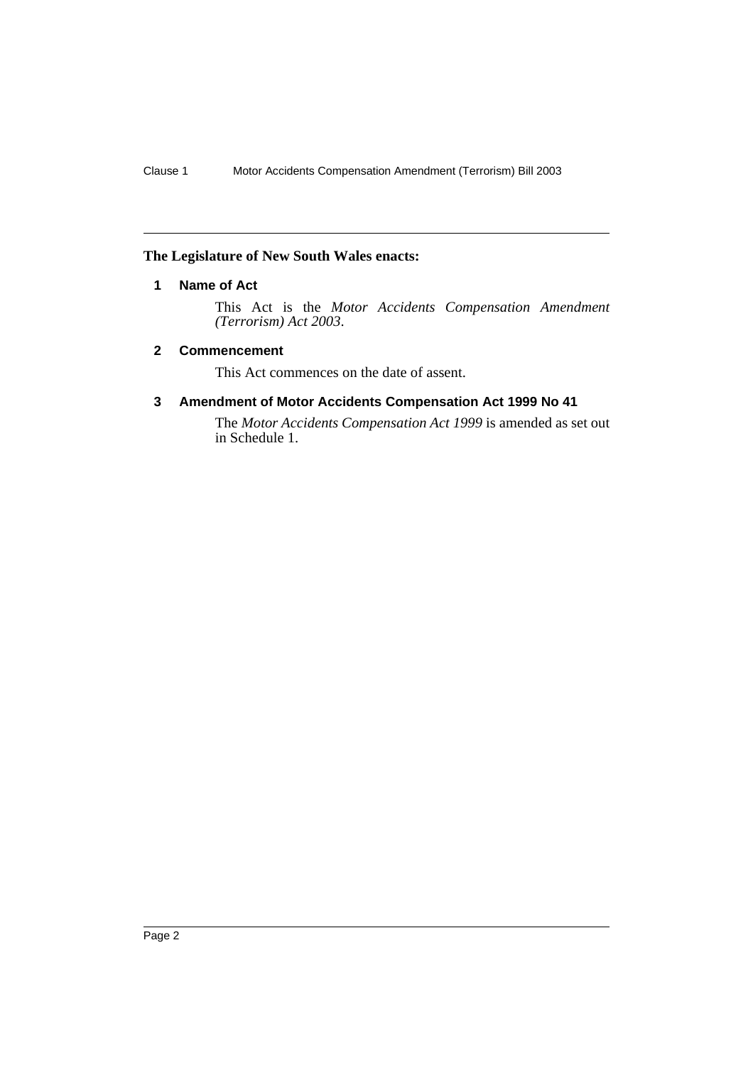### **The Legislature of New South Wales enacts:**

### **1 Name of Act**

This Act is the *Motor Accidents Compensation Amendment (Terrorism) Act 2003*.

#### **2 Commencement**

This Act commences on the date of assent.

### **3 Amendment of Motor Accidents Compensation Act 1999 No 41**

The *Motor Accidents Compensation Act 1999* is amended as set out in Schedule 1.